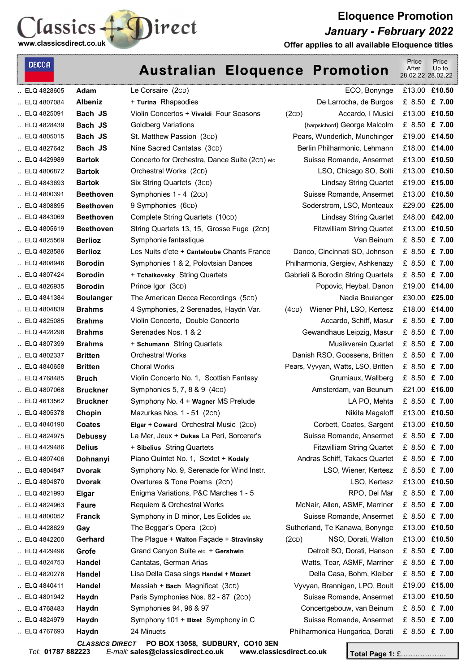

**Eloquence Promotion**  *January - February 2022* 

**Offer applies to all available Eloquence titles**

| <b>DECCA</b> |                  | <b>Australian Eloquence Promotion</b>         |                                    | Price<br>After<br>28.02.22 28.02.22 | Price<br>Up to |
|--------------|------------------|-----------------------------------------------|------------------------------------|-------------------------------------|----------------|
| ELQ 4828605  | Adam             | Le Corsaire (2cD)                             | ECO, Bonynge                       |                                     | £13.00 £10.50  |
| ELQ 4807084  | <b>Albeniz</b>   | + Turina Rhapsodies                           | De Larrocha, de Burgos             |                                     | £ 8.50 £ 7.00  |
| ELQ 4825091  | Bach JS          | Violin Concertos + Vivaldi Four Seasons       | Accardo, I Musici<br>(2CD)         |                                     | £13.00 £10.50  |
| ELQ 4828439  | Bach JS          | <b>Goldberg Variations</b>                    | (harpsichord) George Malcolm       |                                     | £ 8.50 £ 7.00  |
| ELQ 4805015  | Bach JS          | St. Matthew Passion (3cD)                     | Pears, Wunderlich, Munchinger      |                                     | £19.00 £14.50  |
| ELQ 4827642  | Bach JS          | Nine Sacred Cantatas (3cD)                    | Berlin Philharmonic, Lehmann       |                                     | £18.00 £14.00  |
| ELQ 4429989  | <b>Bartok</b>    | Concerto for Orchestra, Dance Suite (2cD) etc | Suisse Romande, Ansermet           |                                     | £13.00 £10.50  |
| ELQ 4806872  | <b>Bartok</b>    | Orchestral Works (2cD)                        | LSO, Chicago SO, Solti             |                                     | £13.00 £10.50  |
| ELQ 4843693  | <b>Bartok</b>    | Six String Quartets (3cD)                     | <b>Lindsay String Quartet</b>      |                                     | £19.00 £15.00  |
| ELQ 4800391  | <b>Beethoven</b> | Symphonies 1 - 4 (2cD)                        | Suisse Romande, Ansermet           |                                     | £13.00 £10.50  |
| ELQ 4808895  | <b>Beethoven</b> | 9 Symphonies (6cD)                            | Soderstrom, LSO, Monteaux          |                                     | £29.00 £25.00  |
| ELQ 4843069  | <b>Beethoven</b> | Complete String Quartets (10cD)               | <b>Lindsay String Quartet</b>      |                                     | £48.00 £42.00  |
| ELQ 4805619  | <b>Beethoven</b> | String Quartets 13, 15, Grosse Fuge (2cD)     | <b>Fitzwilliam String Quartet</b>  |                                     | £13.00 £10.50  |
| ELQ 4825569  | <b>Berlioz</b>   | Symphonie fantastique                         | Van Beinum                         |                                     | £ 8.50 £ 7.00  |
| ELQ 4828586  | <b>Berlioz</b>   | Les Nuits d'ete + Canteloube Chants France    | Danco, Cincinnati SO, Johnson      |                                     | £ 8.50 £ 7.00  |
| ELQ 4808946  | <b>Borodin</b>   | Symphonies 1 & 2, Polovtsian Dances           | Philharmonia, Gergiev, Ashkenazy   |                                     | £ 8.50 £ 7.00  |
| ELQ 4807424  | <b>Borodin</b>   | + Tchaikovsky String Quartets                 | Gabrieli & Borodin String Quartets |                                     | £ 8.50 £ 7.00  |
| ELQ 4826935  | <b>Borodin</b>   | Prince Igor (3cD)                             | Popovic, Heybal, Danon             |                                     | £19.00 £14.00  |
| ELQ 4841384  | <b>Boulanger</b> | The American Decca Recordings (5cD)           | Nadia Boulanger                    |                                     | £30.00 £25.00  |
| ELQ 4804839  | <b>Brahms</b>    | 4 Symphonies, 2 Serenades, Haydn Var.         | Wiener Phil, LSO, Kertesz<br>(4CD) |                                     | £18.00 £14.00  |
| ELQ 4825085  | <b>Brahms</b>    | Violin Concerto, Double Concerto              | Accardo, Schiff, Masur             |                                     | £ 8.50 £ 7.00  |
| ELQ 4428298  | <b>Brahms</b>    | Serenades Nos. 1 & 2                          | Gewandhaus Leipzig, Masur          |                                     | £ 8.50 £ 7.00  |
| ELQ 4807399  | <b>Brahms</b>    | + Schumann String Quartets                    | Musikverein Quartet                |                                     | £ 8.50 £ 7.00  |
| ELQ 4802337  | <b>Britten</b>   | <b>Orchestral Works</b>                       | Danish RSO, Goossens, Britten      |                                     | £ 8.50 £ 7.00  |
| ELQ 4840658  | <b>Britten</b>   | <b>Choral Works</b>                           | Pears, Vyvyan, Watts, LSO, Britten |                                     | £ 8.50 £ 7.00  |
| ELQ 4768485  | <b>Bruch</b>     | Violin Concerto No. 1, Scottish Fantasy       | Grumiaux, Wallberg                 |                                     | £ 8.50 £ 7.00  |
| ELQ 4807068  | <b>Bruckner</b>  | Symphonies 5, 7, 8 & 9 (4cD)                  | Amsterdam, van Beunum              |                                     | £21.00 £16.00  |
| ELQ 4613562  | <b>Bruckner</b>  | Symphony No. 4 + Wagner MS Prelude            | LA PO, Mehta                       |                                     | £ 8.50 £ 7.00  |
| ELQ 4805378  | Chopin           | Mazurkas Nos. 1 - 51 (2cD)                    | Nikita Magaloff                    |                                     | £13.00 £10.50  |
| ELQ 4840190  | <b>Coates</b>    | Elgar + Coward Orchestral Music (2cD)         | Corbett, Coates, Sargent           |                                     | £13.00 £10.50  |
| ELQ 4824975  | <b>Debussy</b>   | La Mer, Jeux + Dukas La Peri, Sorcerer's      | Suisse Romande, Ansermet           |                                     | £ 8.50 £ 7.00  |
| ELQ 4429486  | <b>Delius</b>    | + Sibelius String Quartets                    | <b>Fitzwilliam String Quartet</b>  |                                     | £ 8.50 £ 7.00  |
| ELQ 4807406  | Dohnanyi         | Piano Quintet No. 1, Sextet + Kodaly          | Andras Schiff, Takacs Quartet      |                                     | £ 8.50 £ 7.00  |
| ELQ 4804847  | <b>Dvorak</b>    | Symphony No. 9, Serenade for Wind Instr.      | LSO, Wiener, Kertesz               |                                     | £ 8.50 £ 7.00  |
| ELQ 4804870  | <b>Dvorak</b>    | Overtures & Tone Poems (2cD)                  | LSO, Kertesz                       |                                     | £13.00 £10.50  |
| ELQ 4821993  | <b>Elgar</b>     | Enigma Variations, P&C Marches 1 - 5          | RPO, Del Mar                       |                                     | £ 8.50 £ 7.00  |
| ELQ 4824963  | <b>Faure</b>     | Requiem & Orchestral Works                    | McNair, Allen, ASMF, Marriner      |                                     | £ 8.50 £ 7.00  |
| ELQ 4800052  | <b>Franck</b>    | Symphony in D minor, Les Eolides etc.         | Suisse Romande, Ansermet           |                                     | £ 8.50 £ 7.00  |
| ELQ 4428629  | Gay              | The Beggar's Opera (2cD)                      | Sutherland, Te Kanawa, Bonynge     |                                     | £13.00 £10.50  |
| ELQ 4842200  | Gerhard          | The Plague + Walton Façade + Stravinsky       | NSO, Dorati, Walton<br>(2CD)       |                                     | £13.00 £10.50  |
| ELQ 4429496  | Grofe            | Grand Canyon Suite etc. + Gershwin            | Detroit SO, Dorati, Hanson         |                                     | £ 8.50 £ 7.00  |
| ELQ 4824753  | Handel           | Cantatas, German Arias                        | Watts, Tear, ASMF, Marriner        |                                     | £ 8.50 £ 7.00  |
| ELQ 4820278  | Handel           | Lisa Della Casa sings Handel + Mozart         | Della Casa, Bohm, Kleiber          |                                     | £ 8.50 £ 7.00  |
| ELQ 4840411  | Handel           | Messiah + Bach Magnificat (3cD)               | Vyvyan, Brannigan, LPO, Boult      |                                     | £19.00 £15.00  |
| ELQ 4801942  | Haydn            | Paris Symphonies Nos. 82 - 87 (2cD)           | Suisse Romande, Ansermet           |                                     | £13.00 £10.50  |
| ELQ 4768483  | Haydn            | Symphonies 94, 96 & 97                        | Concertgebouw, van Beinum          |                                     | £ 8.50 £ 7.00  |
| ELQ 4824979  | Haydn            | Symphony 101 + Bizet Symphony in C            | Suisse Romande, Ansermet           |                                     | £ 8.50 £ 7.00  |
| ELQ 4767693  | Haydn            | 24 Minuets                                    | Philharmonica Hungarica, Dorati    |                                     | £ 8.50 £ 7.00  |

*CLASSICS DIRECT* **PO BOX 13058, SUDBURY, CO10 3EN**  *Tel*: **01787 882223** *E-mail:* **sales@classicsdirect.co.uk www.classicsdirect.co.uk**

**Total Page 1:** £……………….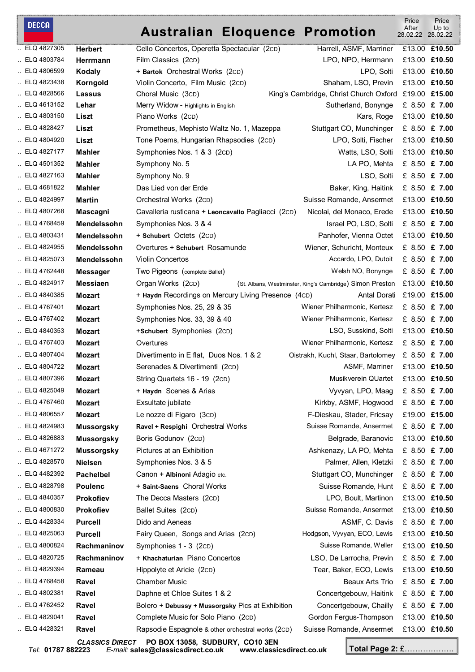#### DECCA

### **Australian Eloquence Promotion**

 Price After Price Up to

|             |                        | Australian Libyuence Fromotion                      |                                                           | 28.02.22 28.02.22 |               |
|-------------|------------------------|-----------------------------------------------------|-----------------------------------------------------------|-------------------|---------------|
| ELQ 4827305 | <b>Herbert</b>         | Cello Concertos, Operetta Spectacular (2cD)         | Harrell, ASMF, Marriner                                   |                   | £13.00 £10.50 |
| ELQ 4803784 | Herrmann               | Film Classics (2cD)                                 | LPO, NPO, Herrmann                                        |                   | £13.00 £10.50 |
| ELQ 4806599 | Kodaly                 | + Bartok Orchestral Works (2cD)                     | LPO, Solti                                                |                   | £13.00 £10.50 |
| ELQ 4823438 | Korngold               | Violin Concerto, Film Music (2cD)                   | Shaham, LSO, Previn                                       |                   | £13.00 £10.50 |
| ELQ 4828566 | Lassus                 | Choral Music (3cD)                                  | King's Cambridge, Christ Church Oxford                    | £19.00 £15.00     |               |
| ELQ 4613152 | Lehar                  | Merry Widow - Highlights in English                 | Sutherland, Bonynge                                       |                   | £ 8.50 £ 7.00 |
| ELQ 4803150 | Liszt                  | Piano Works (2cD)                                   | Kars, Roge                                                |                   | £13.00 £10.50 |
| ELQ 4828427 | Liszt                  | Prometheus, Mephisto Waltz No. 1, Mazeppa           | Stuttgart CO, Munchinger                                  |                   | £ 8.50 £ 7.00 |
| ELQ 4804920 | Liszt                  | Tone Poems, Hungarian Rhapsodies (2cD)              | LPO, Solti, Fischer                                       |                   | £13.00 £10.50 |
| ELQ 4827177 | <b>Mahler</b>          | Symphonies Nos. 1 & 3 (2cD)                         | Watts, LSO, Solti                                         |                   | £13.00 £10.50 |
| ELQ 4501352 | <b>Mahler</b>          | Symphony No. 5                                      | LA PO, Mehta                                              |                   | £ 8.50 £ 7.00 |
| ELQ 4827163 | <b>Mahler</b>          | Symphony No. 9                                      | LSO, Solti                                                |                   | £ 8.50 £ 7.00 |
| ELQ 4681822 | <b>Mahler</b>          | Das Lied von der Erde                               | Baker, King, Haitink                                      |                   | £ 8.50 £ 7.00 |
| ELQ 4824997 | Martin                 | Orchestral Works (2cD)                              | Suisse Romande, Ansermet                                  |                   | £13.00 £10.50 |
| ELQ 4807268 | Mascagni               | Cavalleria rusticana + Leoncavallo Pagliacci (2cD)  | Nicolai, del Monaco, Erede                                |                   | £13.00 £10.50 |
| ELQ 4768459 | <b>Mendelssohn</b>     | Symphonies Nos. 3 & 4                               | Israel PO, LSO, Solti                                     |                   | £ 8.50 £ 7.00 |
| ELQ 4803431 | Mendelssohn            | + Schubert Octets (2CD)                             | Panhofer, Vienna Octet                                    |                   | £13.00 £10.50 |
| ELQ 4824955 | Mendelssohn            | Overtures + Schubert Rosamunde                      | Wiener, Schuricht, Monteux                                |                   | £ 8.50 £ 7.00 |
| ELQ 4825073 | <b>Mendelssohn</b>     | <b>Violin Concertos</b>                             | Accardo, LPO, Dutoit                                      |                   | £ 8.50 £ 7.00 |
| ELQ 4762448 | <b>Messager</b>        | Two Pigeons (complete Ballet)                       | Welsh NO, Bonynge                                         |                   | £ 8.50 £ 7.00 |
| ELQ 4824917 | <b>Messiaen</b>        | Organ Works (2cD)                                   | (St. Albans, Westminster, King's Cambridge) Simon Preston |                   | £13.00 £10.50 |
| ELQ 4840385 | <b>Mozart</b>          | + Haydn Recordings on Mercury Living Presence (4cD) | Antal Dorati                                              | £19.00 £15.00     |               |
| ELQ 4767401 | <b>Mozart</b>          | Symphonies Nos. 25, 29 & 35                         | Wiener Philharmonic, Kertesz                              |                   | £ 8.50 £ 7.00 |
| ELQ 4767402 | <b>Mozart</b>          | Symphonies Nos. 33, 39 & 40                         | Wiener Philharmonic, Kertesz                              |                   | £ 8.50 £ 7.00 |
| ELQ 4840353 | <b>Mozart</b>          | +Schubert Symphonies (2cD)                          | LSO, Susskind, Solti                                      |                   | £13.00 £10.50 |
| ELQ 4767403 | <b>Mozart</b>          | Overtures                                           | Wiener Philharmonic, Kertesz                              |                   | £ 8.50 £ 7.00 |
| ELQ 4807404 | <b>Mozart</b>          | Divertimento in E flat, Duos Nos. 1 & 2             | Oistrakh, Kuchl, Staar, Bartolomey                        |                   | £ 8.50 £ 7.00 |
| ELQ 4804722 | <b>Mozart</b>          | Serenades & Divertimenti (2cD)                      | ASMF, Marriner                                            |                   | £13.00 £10.50 |
| ELQ 4807396 | <b>Mozart</b>          | String Quartets 16 - 19 (2cD)                       | Musikverein QUartet                                       |                   | £13.00 £10.50 |
| ELQ 4825049 | <b>Mozart</b>          | + Haydn Scenes & Arias                              | Vyvyan, LPO, Maag £ 8.50 £ 7.00                           |                   |               |
| ELQ 4767460 | Mozart                 | Exsultate jubilate                                  | Kirkby, ASMF, Hogwood                                     |                   | £ 8.50 £ 7.00 |
| ELQ 4806557 | <b>Mozart</b>          | Le nozze di Figaro (3cD)                            | F-Dieskau, Stader, Fricsay                                |                   | £19.00 £15.00 |
| ELQ 4824983 | <b>Mussorgsky</b>      | Ravel + Respighi Orchestral Works                   | Suisse Romande, Ansermet                                  |                   | £ 8.50 £ 7.00 |
| ELQ 4826883 | <b>Mussorgsky</b>      | Boris Godunov (2cD)                                 | Belgrade, Baranovic                                       |                   | £13.00 £10.50 |
| ELQ 4671272 | <b>Mussorgsky</b>      | Pictures at an Exhibition                           | Ashkenazy, LA PO, Mehta                                   |                   | £ 8.50 £ 7.00 |
| ELQ 4828570 | <b>Nielsen</b>         | Symphonies Nos. 3 & 5                               | Palmer, Allen, Kletzki                                    |                   | £ 8.50 £ 7.00 |
| ELQ 4482392 | <b>Pachelbel</b>       | Canon + Albinoni Adagio etc.                        | Stuttgart CO, Munchinger                                  |                   | £ 8.50 £ 7.00 |
| ELQ 4828798 | <b>Poulenc</b>         | + Saint-Saens Choral Works                          | Suisse Romande, Hunt                                      |                   | £ 8.50 £ 7.00 |
| ELQ 4840357 | <b>Prokofiev</b>       | The Decca Masters (2cD)                             | LPO, Boult, Martinon                                      |                   | £13.00 £10.50 |
| ELQ 4800830 | Prokofiev              | Ballet Suites (2cD)                                 | Suisse Romande, Ansermet                                  |                   | £13.00 £10.50 |
| ELQ 4428334 | <b>Purcell</b>         | Dido and Aeneas                                     | ASMF, C. Davis                                            |                   | £ 8.50 £ 7.00 |
| ELQ 4825063 | <b>Purcell</b>         | Fairy Queen, Songs and Arias (2cD)                  | Hodgson, Vyvyan, ECO, Lewis                               |                   | £13.00 £10.50 |
| ELQ 4800824 | Rachmaninov            | Symphonies 1 - 3 (2cD)                              | Suisse Romande, Weller                                    |                   | £13.00 £10.50 |
| ELQ 4820725 | Rachmaninov            | + Khachaturian Piano Concertos                      | LSO, De Larrocha, Previn                                  |                   | £ 8.50 £ 7.00 |
| ELQ 4829394 | Rameau                 | Hippolyte et Aricie (2cD)                           | Tear, Baker, ECO, Lewis                                   |                   | £13.00 £10.50 |
| ELQ 4768458 | Ravel                  | <b>Chamber Music</b>                                | Beaux Arts Trio                                           |                   | £ 8.50 £ 7.00 |
| ELQ 4802381 | Ravel                  | Daphne et Chloe Suites 1 & 2                        | Concertgebouw, Haitink                                    |                   | £ 8.50 £ 7.00 |
| ELQ 4762452 | Ravel                  | Bolero + Debussy + Mussorgsky Pics at Exhibition    | Concertgebouw, Chailly                                    |                   | £ 8.50 £ 7.00 |
| ELQ 4829041 | Ravel                  | Complete Music for Solo Piano (2cD)                 | Gordon Fergus-Thompson                                    |                   | £13.00 £10.50 |
| ELQ 4428321 | Ravel                  | Rapsodie Espagnole & other orchestral works (2CD)   | Suisse Romande, Ansermet                                  |                   | £13.00 £10.50 |
|             | <b>CLASSICS DIRECT</b> | PO BOX 13058, SUDBURY, CO10 3EN                     |                                                           |                   |               |

*Tel*: **01787 882223** *E-mail:* **sales@classicsdirect.co.uk www.classicsdirect.co.uk Total Page 2:** £……………….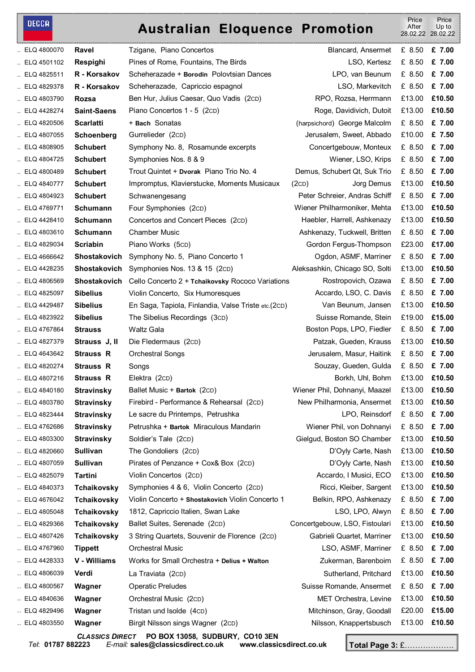### **DECCA**

## **Australian Eloquence Promotion**

 Price After 28.02.22 Price Up to 28.02.22

| ELQ 4800070                | Ravel                      | Tzigane, Piano Concertos                                                                    | Blancard, Ansermet                                | £ 8.50           | £ 7.00           |
|----------------------------|----------------------------|---------------------------------------------------------------------------------------------|---------------------------------------------------|------------------|------------------|
| ELQ 4501102                | Respighi                   | Pines of Rome, Fountains, The Birds                                                         | LSO, Kertesz                                      | £ 8.50           | £ 7.00           |
| $\ldots$ ELQ 4825511       | R - Korsakov               | Scheherazade + Borodin Polovtsian Dances                                                    | LPO, van Beunum                                   | £ 8.50           | £ 7.00           |
| ELQ 4829378                | R - Korsakov               | Scheherazade, Capriccio espagnol                                                            | LSO, Markevitch                                   | £ 8.50           | £ 7.00           |
| ELQ 4803790                | Rozsa                      | Ben Hur, Julius Caesar, Quo Vadis (2cD)                                                     | RPO, Rozsa, Herrmann                              | £13.00           | £10.50           |
| ELQ 4428274                | <b>Saint-Saens</b>         | Piano Concertos 1 - 5 (2cD)                                                                 | Roge, Davidivich, Dutoit                          | £13.00           | £10.50           |
| ELQ 4820506                | <b>Scarlatti</b>           | + Bach Sonatas                                                                              | (harpsichord) George Malcolm                      | £ 8.50           | £ 7.00           |
| ELQ 4807055                | Schoenberg                 | Gurrelieder (2cD)                                                                           | Jerusalem, Sweet, Abbado                          | £10.00           | £ 7.50           |
| ELQ 4808905                | <b>Schubert</b>            | Symphony No. 8, Rosamunde excerpts                                                          | Concertgebouw, Monteux                            | £ 8.50           | £ 7.00           |
| ELQ 4804725                | <b>Schubert</b>            | Symphonies Nos. 8 & 9                                                                       | Wiener, LSO, Krips                                | £ 8.50           | £ 7.00           |
| ELQ 4800489                | <b>Schubert</b>            | Trout Quintet + Dvorak Piano Trio No. 4                                                     | Demus, Schubert Qt, Suk Trio                      | £ 8.50           | £ 7.00           |
| ELQ 4840777                | <b>Schubert</b>            | Impromptus, Klavierstucke, Moments Musicaux                                                 | Jorg Demus<br>(2CD)                               | £13.00           | £10.50           |
| ELQ 4804923                | <b>Schubert</b>            | Schwanengesang                                                                              | Peter Schreier, Andras Schiff                     | £ 8.50           | £ 7.00           |
| ELQ 4769771                | Schumann                   | Four Symphonies (2cD)                                                                       | Wiener Philharmoniker, Mehta                      | £13.00           | £10.50           |
| ELQ 4428410                | <b>Schumann</b>            | Concertos and Concert Pieces (2cD)                                                          | Haebler, Harrell, Ashkenazy                       | £13.00           | £10.50           |
| ELQ 4803610                | <b>Schumann</b>            | <b>Chamber Music</b>                                                                        | Ashkenazy, Tuckwell, Britten                      | £ 8.50           | £ 7.00           |
| ELQ 4829034                | <b>Scriabin</b>            | Piano Works (5cD)                                                                           | Gordon Fergus-Thompson                            | £23.00           | £17.00           |
| ELQ 4666642                | <b>Shostakovich</b>        | Symphony No. 5, Piano Concerto 1                                                            | Ogdon, ASMF, Marriner                             | £ 8.50           | £ 7.00           |
| ELQ 4428235                | Shostakovich               | Symphonies Nos. 13 & 15 (2cD)                                                               | Aleksashkin, Chicago SO, Solti                    | £13.00           | £10.50           |
| ELQ 4806569                | <b>Shostakovich</b>        | Cello Concerto 2 + Tchaikovsky Rococo Variations                                            | Rostropovich, Ozawa                               | £ 8.50           | £ 7.00           |
| ELQ 4825097                | <b>Sibelius</b>            | Violin Concerto, Six Humoresques                                                            | Accardo, LSO, C. Davis                            | £ 8.50           | £ 7.00           |
| ELQ 4429487                | <b>Sibelius</b>            | En Saga, Tapiola, Finlandia, Valse Triste etc.(2CD)                                         | Van Beunum, Jansen                                | £13.00           | £10.50           |
| $\ldots$ ELQ 4823922       | <b>Sibelius</b>            | The Sibelius Recordings (3cD)                                                               | Suisse Romande, Stein                             | £19.00           | £15.00           |
| ELQ 4767864                | <b>Strauss</b>             | Waltz Gala                                                                                  | Boston Pops, LPO, Fiedler                         | £ 8.50           | £ 7.00           |
| ELQ 4827379                | Strauss J, II              | Die Fledermaus (2cD)                                                                        | Patzak, Gueden, Krauss                            | £13.00           | £10.50           |
| ELQ 4643642                | <b>Strauss R</b>           | <b>Orchestral Songs</b>                                                                     | Jerusalem, Masur, Haitink                         | £ 8.50           | £ 7.00           |
| ELQ 4820274                | <b>Strauss R</b>           | Songs                                                                                       | Souzay, Gueden, Gulda                             | £ 8.50           | £ 7.00           |
| ELQ 4807216                | <b>Strauss R</b>           | Elektra (2cD)                                                                               | Borkh, Uhl, Bohm                                  | £13.00           | £10.50           |
| ELQ 4840180                | <b>Stravinsky</b>          | Ballet Music + Bartok (2CD)                                                                 | Wiener Phil, Dohnanyi, Maazel                     | £13.00 £10.50    |                  |
| ELQ 4803780                | <b>Stravinsky</b>          | Firebird - Performance & Rehearsal (2cD)                                                    | New Philharmonia, Ansermet                        | £13.00           | £10.50           |
| ELQ 4823444                | <b>Stravinsky</b>          | Le sacre du Printemps, Petrushka                                                            | LPO, Reinsdorf                                    | £ 8.50           | £ 7.00           |
| ELQ 4762686                | <b>Stravinsky</b>          | Petrushka + Bartok Miraculous Mandarin                                                      | Wiener Phil, von Dohnanyi                         | £ 8.50           | £ 7.00           |
| ELQ 4803300                | <b>Stravinsky</b>          | Soldier's Tale (2cD)                                                                        | Gielgud, Boston SO Chamber                        | £13.00           | £10.50           |
| ELQ 4820660                | <b>Sullivan</b>            | The Gondoliers (2cD)                                                                        | D'Oyly Carte, Nash                                | £13.00           | £10.50           |
| ELQ 4807059                | Sullivan                   | Pirates of Penzance + Cox& Box (2cD)                                                        | D'Oyly Carte, Nash                                | £13.00           | £10.50           |
| ELQ 4825079                | <b>Tartini</b>             | Violin Concertos (2cD)                                                                      | Accardo, I Musici, ECO                            | £13.00           | £10.50           |
| ELQ 4840373<br>ELQ 4676042 | Tchaikovsky<br>Tchaikovsky | Symphonies 4 & 6, Violin Concerto (2cD)<br>Violin Concerto + Shostakovich Violin Concerto 1 | Ricci, Kleiber, Sargent<br>Belkin, RPO, Ashkenazy | £13.00<br>£ 8.50 | £10.50<br>£ 7.00 |
| ELQ 4805048                | <b>Tchaikovsky</b>         | 1812, Capriccio Italien, Swan Lake                                                          | LSO, LPO, Alwyn                                   | £ 8.50           | £ 7.00           |
| ELQ 4829366                | Tchaikovsky                | Ballet Suites, Serenade (2cD)                                                               | Concertgebouw, LSO, Fistoulari                    | £13.00           | £10.50           |
| ELQ 4807426                | Tchaikovsky                | 3 String Quartets, Souvenir de Florence (2cD)                                               | Gabrieli Quartet, Marriner                        | £13.00           | £10.50           |
| ELQ 4767960                | <b>Tippett</b>             | <b>Orchestral Music</b>                                                                     | LSO, ASMF, Marriner                               | £ 8.50           | £ 7.00           |
| ELQ 4428333                | V - Williams               | Works for Small Orchestra + Delius + Walton                                                 | Zukerman, Barenboim                               | £ 8.50           | £ 7.00           |
| ELQ 4806039                |                            |                                                                                             |                                                   | £13.00           | £10.50           |
|                            | Verdi                      | La Traviata (2cD)                                                                           | Sutherland, Pritchard                             |                  |                  |
| ELQ 4800567                | Wagner                     | <b>Operatic Preludes</b>                                                                    | Suisse Romande, Ansermet                          | £ 8.50           | £ 7.00           |
| ELQ 4840636                | Wagner                     | Orchestral Music (2cD)                                                                      | MET Orchestra, Levine                             | £13.00           | £10.50           |
| ELQ 4829496                | Wagner                     | Tristan und Isolde (4cD)                                                                    | Mitchinson, Gray, Goodall                         | £20.00           | £15.00           |
| ELQ 4803550                | Wagner                     | Birgit Nilsson sings Wagner (2cD)                                                           | Nilsson, Knappertsbusch                           | £13.00           | £10.50           |
|                            | <b>CLASSICS DIRECT</b>     | PO BOX 13058, SUDBURY, CO10 3EN                                                             |                                                   |                  |                  |

*Tel*: **01787 882223** *E-mail:* **sales@classicsdirect.co.uk www.classicsdirect.co.uk Total Page 3:** £……………….